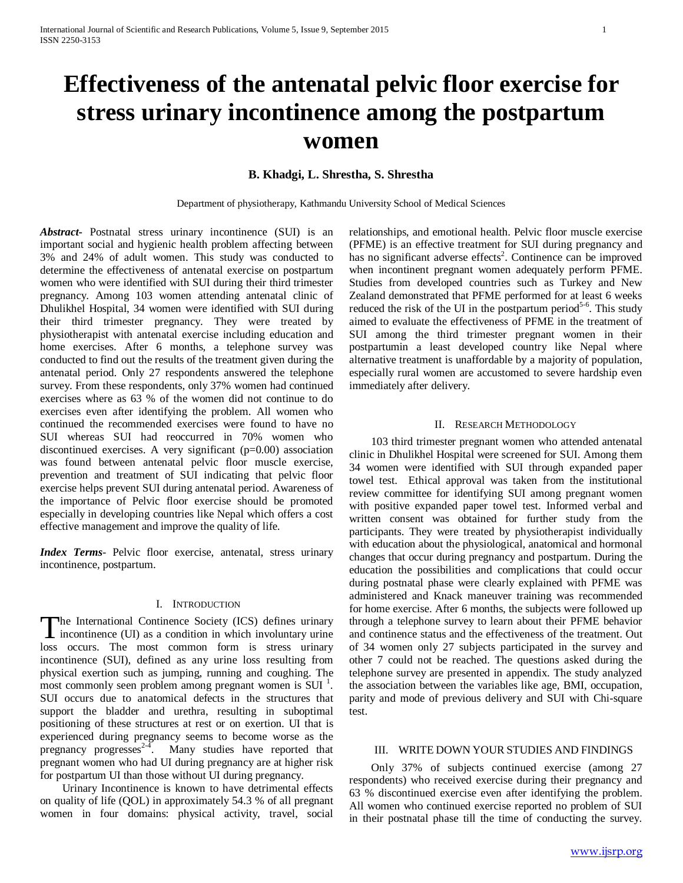# **Effectiveness of the antenatal pelvic floor exercise for stress urinary incontinence among the postpartum women**

# **B. Khadgi, L. Shrestha, S. Shrestha**

Department of physiotherapy, Kathmandu University School of Medical Sciences

*Abstract***-** Postnatal stress urinary incontinence (SUI) is an important social and hygienic health problem affecting between 3% and 24% of adult women. This study was conducted to determine the effectiveness of antenatal exercise on postpartum women who were identified with SUI during their third trimester pregnancy. Among 103 women attending antenatal clinic of Dhulikhel Hospital, 34 women were identified with SUI during their third trimester pregnancy. They were treated by physiotherapist with antenatal exercise including education and home exercises. After 6 months, a telephone survey was conducted to find out the results of the treatment given during the antenatal period. Only 27 respondents answered the telephone survey. From these respondents, only 37% women had continued exercises where as 63 % of the women did not continue to do exercises even after identifying the problem. All women who continued the recommended exercises were found to have no SUI whereas SUI had reoccurred in 70% women who discontinued exercises. A very significant  $(p=0.00)$  association was found between antenatal pelvic floor muscle exercise, prevention and treatment of SUI indicating that pelvic floor exercise helps prevent SUI during antenatal period. Awareness of the importance of Pelvic floor exercise should be promoted especially in developing countries like Nepal which offers a cost effective management and improve the quality of life.

*Index Terms*- Pelvic floor exercise, antenatal, stress urinary incontinence, postpartum.

## I. INTRODUCTION

he International Continence Society (ICS) defines urinary The International Continence Society (ICS) defines urinary<br>incontinence (UI) as a condition in which involuntary urine loss occurs. The most common form is stress urinary incontinence (SUI), defined as any urine loss resulting from physical exertion such as jumping, running and coughing. The most commonly seen problem among pregnant women is SUI<sup>1</sup>. SUI occurs due to anatomical defects in the structures that support the bladder and urethra, resulting in suboptimal positioning of these structures at rest or on exertion. UI that is experienced during pregnancy seems to become worse as the pregnancy progresses<sup>2-4</sup>. Many studies have reported that pregnant women who had UI during pregnancy are at higher risk for postpartum UI than those without UI during pregnancy.

 Urinary Incontinence is known to have detrimental effects on quality of life (QOL) in approximately 54.3 % of all pregnant women in four domains: physical activity, travel, social

relationships, and emotional health. Pelvic floor muscle exercise (PFME) is an effective treatment for SUI during pregnancy and has no significant adverse effects<sup>2</sup>. Continence can be improved when incontinent pregnant women adequately perform PFME. Studies from developed countries such as Turkey and New Zealand demonstrated that PFME performed for at least 6 weeks reduced the risk of the UI in the postpartum period<sup>5-6</sup>. This study aimed to evaluate the effectiveness of PFME in the treatment of SUI among the third trimester pregnant women in their postpartumin a least developed country like Nepal where alternative treatment is unaffordable by a majority of population, especially rural women are accustomed to severe hardship even immediately after delivery.

#### II. RESEARCH METHODOLOGY

 103 third trimester pregnant women who attended antenatal clinic in Dhulikhel Hospital were screened for SUI. Among them 34 women were identified with SUI through expanded paper towel test. Ethical approval was taken from the institutional review committee for identifying SUI among pregnant women with positive expanded paper towel test. Informed verbal and written consent was obtained for further study from the participants. They were treated by physiotherapist individually with education about the physiological, anatomical and hormonal changes that occur during pregnancy and postpartum. During the education the possibilities and complications that could occur during postnatal phase were clearly explained with PFME was administered and Knack maneuver training was recommended for home exercise. After 6 months, the subjects were followed up through a telephone survey to learn about their PFME behavior and continence status and the effectiveness of the treatment. Out of 34 women only 27 subjects participated in the survey and other 7 could not be reached. The questions asked during the telephone survey are presented in appendix. The study analyzed the association between the variables like age, BMI, occupation, parity and mode of previous delivery and SUI with Chi-square test.

# III. WRITE DOWN YOUR STUDIES AND FINDINGS

 Only 37% of subjects continued exercise (among 27 respondents) who received exercise during their pregnancy and 63 % discontinued exercise even after identifying the problem. All women who continued exercise reported no problem of SUI in their postnatal phase till the time of conducting the survey.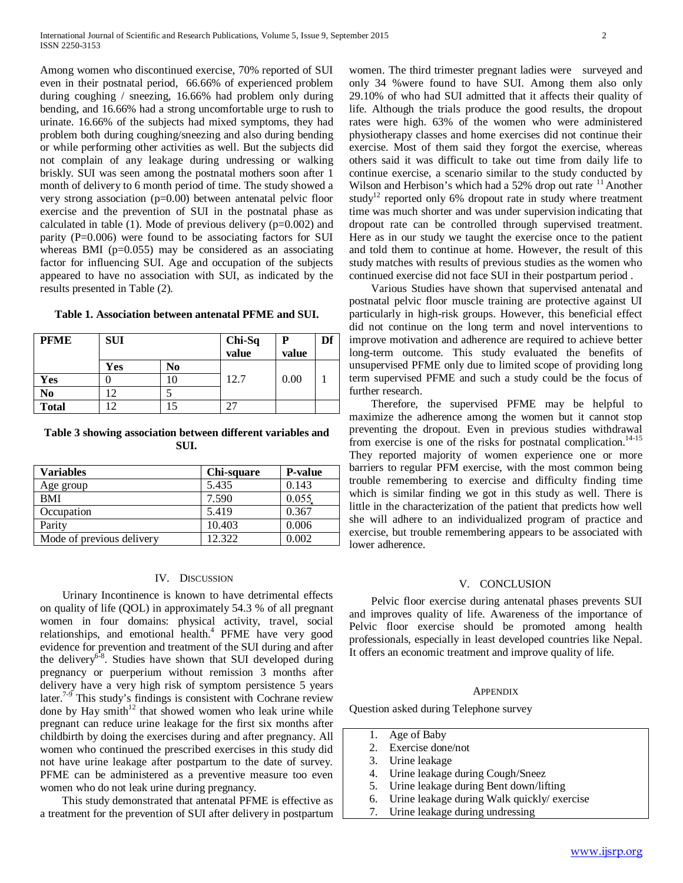Among women who discontinued exercise, 70% reported of SUI even in their postnatal period, 66.66% of experienced problem during coughing / sneezing, 16.66% had problem only during bending, and 16.66% had a strong uncomfortable urge to rush to urinate. 16.66% of the subjects had mixed symptoms, they had problem both during coughing/sneezing and also during bending or while performing other activities as well. But the subjects did not complain of any leakage during undressing or walking briskly. SUI was seen among the postnatal mothers soon after 1 month of delivery to 6 month period of time. The study showed a very strong association (p=0.00) between antenatal pelvic floor exercise and the prevention of SUI in the postnatal phase as calculated in table  $(1)$ . Mode of previous delivery  $(p=0.002)$  and parity (P=0.006) were found to be associating factors for SUI whereas BMI ( $p=0.055$ ) may be considered as an associating factor for influencing SUI. Age and occupation of the subjects appeared to have no association with SUI, as indicated by the results presented in Table (2).

**Table 1. Association between antenatal PFME and SUI.**

| <b>PFME</b>  | <b>SUI</b> |    | Chi-Sq<br>value | P<br>value | Df |
|--------------|------------|----|-----------------|------------|----|
|              | Yes        | No |                 |            |    |
| Yes          |            | 10 | 12.7            | 0.00       |    |
| No           |            |    |                 |            |    |
| <b>Total</b> |            |    |                 |            |    |

## **Table 3 showing association between different variables and SUI.**

| <b>Variables</b>          | Chi-square | <b>P-value</b> |
|---------------------------|------------|----------------|
| Age group                 | 5.435      | 0.143          |
| <b>BMI</b>                | 7.590      | 0.055          |
| Occupation                | 5.419      | 0.367          |
| Parity                    | 10.403     | 0.006          |
| Mode of previous delivery | 12.322     | 0.002          |

## IV. DISCUSSION

 Urinary Incontinence is known to have detrimental effects on quality of life (QOL) in approximately 54.3 % of all pregnant women in four domains: physical activity, travel, social relationships, and emotional health. $4$  PFME have very good evidence for prevention and treatment of the SUI during and after the delivery<sup>6-8</sup>. Studies have shown that SUI developed during pregnancy or puerperium without remission 3 months after delivery have a very high risk of symptom persistence 5 years later.<sup>7-9</sup> This study's findings is consistent with Cochrane review done by Hay smith $12$  that showed women who leak urine while pregnant can reduce urine leakage for the first six months after childbirth by doing the exercises during and after pregnancy. All women who continued the prescribed exercises in this study did not have urine leakage after postpartum to the date of survey. PFME can be administered as a preventive measure too even women who do not leak urine during pregnancy.

 This study demonstrated that antenatal PFME is effective as a treatment for the prevention of SUI after delivery in postpartum women. The third trimester pregnant ladies were surveyed and only 34 %were found to have SUI. Among them also only 29.10% of who had SUI admitted that it affects their quality of life. Although the trials produce the good results, the dropout rates were high. 63% of the women who were administered physiotherapy classes and home exercises did not continue their exercise. Most of them said they forgot the exercise, whereas others said it was difficult to take out time from daily life to continue exercise, a scenario similar to the study conducted by Wilson and Herbison's which had a  $52\%$  drop out rate.<sup>11</sup> Another study<sup>12</sup> reported only 6% dropout rate in study where treatment time was much shorter and was under supervision indicating that dropout rate can be controlled through supervised treatment. Here as in our study we taught the exercise once to the patient and told them to continue at home. However, the result of this study matches with results of previous studies as the women who continued exercise did not face SUI in their postpartum period .

 Various Studies have shown that supervised antenatal and postnatal pelvic floor muscle training are protective against UI particularly in high-risk groups. However, this beneficial effect did not continue on the long term and novel interventions to improve motivation and adherence are required to achieve better long-term outcome. This study evaluated the benefits of unsupervised PFME only due to limited scope of providing long term supervised PFME and such a study could be the focus of further research.

 Therefore, the supervised PFME may be helpful to maximize the adherence among the women but it cannot stop preventing the dropout. Even in previous studies withdrawal from exercise is one of the risks for postnatal complication.<sup>14-15</sup> They reported majority of women experience one or more barriers to regular PFM exercise, with the most common being trouble remembering to exercise and difficulty finding time which is similar finding we got in this study as well. There is little in the characterization of the patient that predicts how well she will adhere to an individualized program of practice and exercise, but trouble remembering appears to be associated with lower adherence.

## V. CONCLUSION

 Pelvic floor exercise during antenatal phases prevents SUI and improves quality of life. Awareness of the importance of Pelvic floor exercise should be promoted among health professionals, especially in least developed countries like Nepal. It offers an economic treatment and improve quality of life.

#### **APPENDIX**

Question asked during Telephone survey

- 1. Age of Baby
- 2. Exercise done/not
- 3. Urine leakage
- 4. Urine leakage during Cough/Sneez
- 5. Urine leakage during Bent down/lifting
- 6. Urine leakage during Walk quickly/ exercise
- 7. Urine leakage during undressing